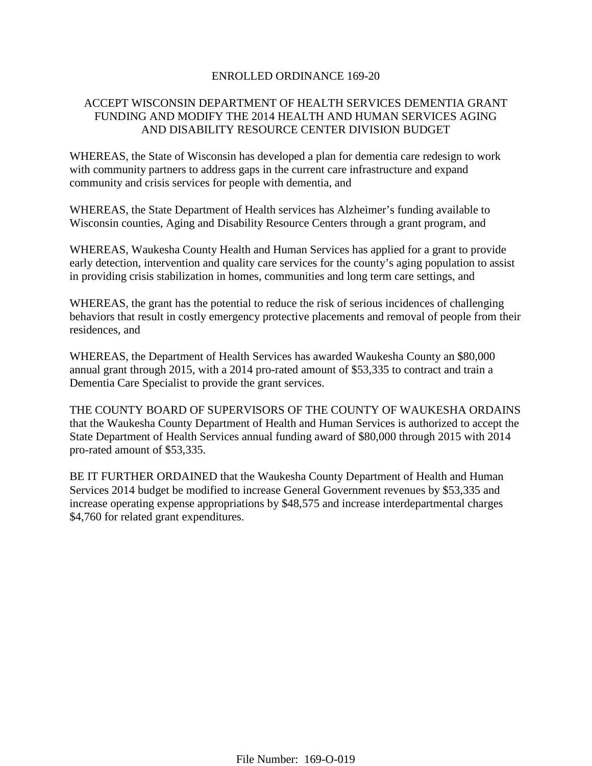#### ENROLLED ORDINANCE 169-20

## ACCEPT WISCONSIN DEPARTMENT OF HEALTH SERVICES DEMENTIA GRANT FUNDING AND MODIFY THE 2014 HEALTH AND HUMAN SERVICES AGING AND DISABILITY RESOURCE CENTER DIVISION BUDGET

WHEREAS, the State of Wisconsin has developed a plan for dementia care redesign to work with community partners to address gaps in the current care infrastructure and expand community and crisis services for people with dementia, and

WHEREAS, the State Department of Health services has Alzheimer's funding available to Wisconsin counties, Aging and Disability Resource Centers through a grant program, and

WHEREAS, Waukesha County Health and Human Services has applied for a grant to provide early detection, intervention and quality care services for the county's aging population to assist in providing crisis stabilization in homes, communities and long term care settings, and

WHEREAS, the grant has the potential to reduce the risk of serious incidences of challenging behaviors that result in costly emergency protective placements and removal of people from their residences, and

WHEREAS, the Department of Health Services has awarded Waukesha County an \$80,000 annual grant through 2015, with a 2014 pro-rated amount of \$53,335 to contract and train a Dementia Care Specialist to provide the grant services.

THE COUNTY BOARD OF SUPERVISORS OF THE COUNTY OF WAUKESHA ORDAINS that the Waukesha County Department of Health and Human Services is authorized to accept the State Department of Health Services annual funding award of \$80,000 through 2015 with 2014 pro-rated amount of \$53,335.

BE IT FURTHER ORDAINED that the Waukesha County Department of Health and Human Services 2014 budget be modified to increase General Government revenues by \$53,335 and increase operating expense appropriations by \$48,575 and increase interdepartmental charges \$4,760 for related grant expenditures.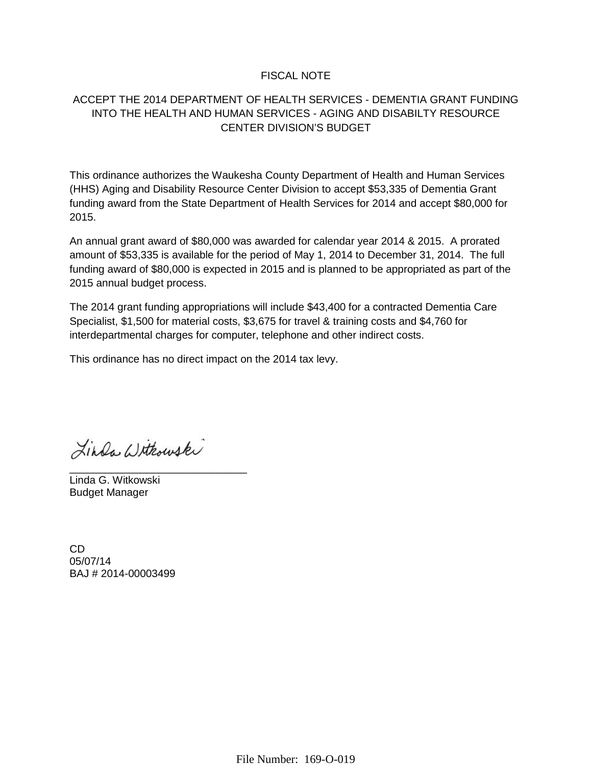### FISCAL NOTE

## ACCEPT THE 2014 DEPARTMENT OF HEALTH SERVICES - DEMENTIA GRANT FUNDING INTO THE HEALTH AND HUMAN SERVICES - AGING AND DISABILTY RESOURCE CENTER DIVISION'S BUDGET

This ordinance authorizes the Waukesha County Department of Health and Human Services (HHS) Aging and Disability Resource Center Division to accept \$53,335 of Dementia Grant funding award from the State Department of Health Services for 2014 and accept \$80,000 for 2015.

An annual grant award of \$80,000 was awarded for calendar year 2014 & 2015. A prorated amount of \$53,335 is available for the period of May 1, 2014 to December 31, 2014. The full funding award of \$80,000 is expected in 2015 and is planned to be appropriated as part of the 2015 annual budget process.

The 2014 grant funding appropriations will include \$43,400 for a contracted Dementia Care Specialist, \$1,500 for material costs, \$3,675 for travel & training costs and \$4,760 for interdepartmental charges for computer, telephone and other indirect costs.

This ordinance has no direct impact on the 2014 tax levy.

Linda Withouski

\_\_\_\_\_\_\_\_\_\_\_\_\_\_\_\_\_\_\_\_\_\_\_\_\_\_\_\_\_\_

Linda G. Witkowski Budget Manager

CD 05/07/14 BAJ # 2014-00003499

File Number: 169-O-019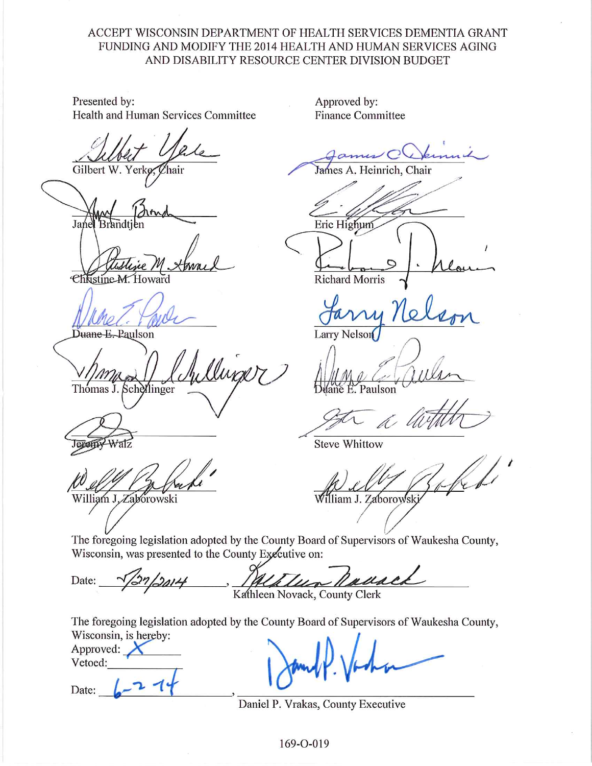# ACCEPT WISCONSIN DEPARTMENT OF HEALTH SERVICES DEMENTIA GRANT FUNDING AND MODIFY THE 2014 HEALTH AND HUMAN SERVICES AGING AND DISABILITY RESOURCE CENTER DIVISION BUDGET

Presented by: Health and Human Services Committee

Gilbert W. Yerko

Jane

Christine

Duane E. Paulson

Clump 17 Thomas J. Schellinger

eran

William J. Zabórowski

Approved by: **Finance Committee** 

A. Heinrich, Chair James

Eric Highum **Richard Morris** 

**Larry Nelson** 

Paulson

þ,

**Steve Whittow** 

William J. Zaborowsk

The foregoing legislation adopted by the County Board of Supervisors of Waukesha County, Wisconsin, was presented to the County Executive on:

un Kall Date:  $2014$ Kathleen Novack, County Clerk

The foregoing legislation adopted by the County Board of Supervisors of Waukesha County, Wisconsin, is hereby:

Approved: Vetoed:

Date:

Daniel P. Vrakas, County Executive